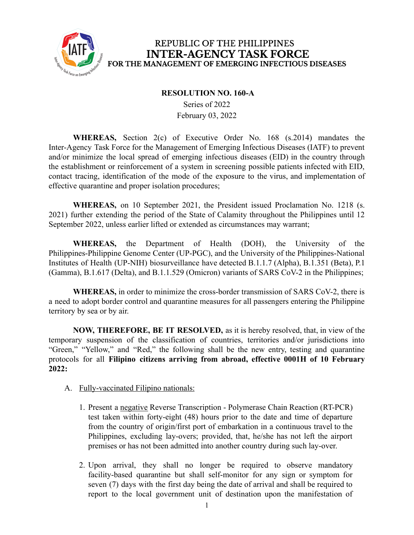

## REPUBLIC OF THE PHILIPPINES **INTER-AGENCY TASK FORCE** FOR THE MANAGEMENT OF EMERGING INFECTIOUS DISEASES

#### **RESOLUTION NO. 160-A**

Series of 2022 February 03, 2022

**WHEREAS,** Section 2(c) of Executive Order No. 168 (s.2014) mandates the Inter-Agency Task Force for the Management of Emerging Infectious Diseases (IATF) to prevent and/or minimize the local spread of emerging infectious diseases (EID) in the country through the establishment or reinforcement of a system in screening possible patients infected with EID, contact tracing, identification of the mode of the exposure to the virus, and implementation of effective quarantine and proper isolation procedures;

**WHEREAS,** on 10 September 2021, the President issued Proclamation No. 1218 (s. 2021) further extending the period of the State of Calamity throughout the Philippines until 12 September 2022, unless earlier lifted or extended as circumstances may warrant;

**WHEREAS,** the Department of Health (DOH), the University of the Philippines-Philippine Genome Center (UP-PGC), and the University of the Philippines-National Institutes of Health (UP-NIH) biosurveillance have detected B.1.1.7 (Alpha), B.1.351 (Beta), P.1 (Gamma), B.1.617 (Delta), and B.1.1.529 (Omicron) variants of SARS CoV-2 in the Philippines;

**WHEREAS,** in order to minimize the cross-border transmission of SARS CoV-2, there is a need to adopt border control and quarantine measures for all passengers entering the Philippine territory by sea or by air.

**NOW, THEREFORE, BE IT RESOLVED,** as it is hereby resolved, that, in view of the temporary suspension of the classification of countries, territories and/or jurisdictions into "Green," "Yellow," and "Red," the following shall be the new entry, testing and quarantine protocols for all **Filipino citizens arriving from abroad, effective 0001H of 10 February 2022:**

- A. Fully-vaccinated Filipino nationals:
	- 1. Present a negative Reverse Transcription Polymerase Chain Reaction (RT-PCR) test taken within forty-eight (48) hours prior to the date and time of departure from the country of origin/first port of embarkation in a continuous travel to the Philippines, excluding lay-overs; provided, that, he/she has not left the airport premises or has not been admitted into another country during such lay-over.
	- 2. Upon arrival, they shall no longer be required to observe mandatory facility-based quarantine but shall self-monitor for any sign or symptom for seven (7) days with the first day being the date of arrival and shall be required to report to the local government unit of destination upon the manifestation of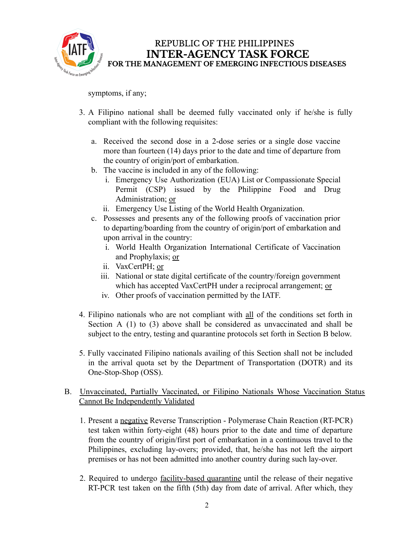

symptoms, if any;

- 3. A Filipino national shall be deemed fully vaccinated only if he/she is fully compliant with the following requisites:
	- a. Received the second dose in a 2-dose series or a single dose vaccine more than fourteen (14) days prior to the date and time of departure from the country of origin/port of embarkation.
	- b. The vaccine is included in any of the following:
		- i. Emergency Use Authorization (EUA) List or Compassionate Special Permit (CSP) issued by the Philippine Food and Drug Administration; or
		- ii. Emergency Use Listing of the World Health Organization.
	- c. Possesses and presents any of the following proofs of vaccination prior to departing/boarding from the country of origin/port of embarkation and upon arrival in the country:
		- i. World Health Organization International Certificate of Vaccination and Prophylaxis; or
		- ii. VaxCertPH; or
		- iii. National or state digital certificate of the country/foreign government which has accepted VaxCertPH under a reciprocal arrangement; or
		- iv. Other proofs of vaccination permitted by the IATF.
- 4. Filipino nationals who are not compliant with all of the conditions set forth in Section A (1) to (3) above shall be considered as unvaccinated and shall be subject to the entry, testing and quarantine protocols set forth in Section B below.
- 5. Fully vaccinated Filipino nationals availing of this Section shall not be included in the arrival quota set by the Department of Transportation (DOTR) and its One-Stop-Shop (OSS).

### B. Unvaccinated, Partially Vaccinated, or Filipino Nationals Whose Vaccination Status Cannot Be Independently Validated

- 1. Present a negative Reverse Transcription Polymerase Chain Reaction (RT-PCR) test taken within forty-eight (48) hours prior to the date and time of departure from the country of origin/first port of embarkation in a continuous travel to the Philippines, excluding lay-overs; provided, that, he/she has not left the airport premises or has not been admitted into another country during such lay-over.
- 2. Required to undergo facility-based quarantine until the release of their negative RT-PCR test taken on the fifth (5th) day from date of arrival. After which, they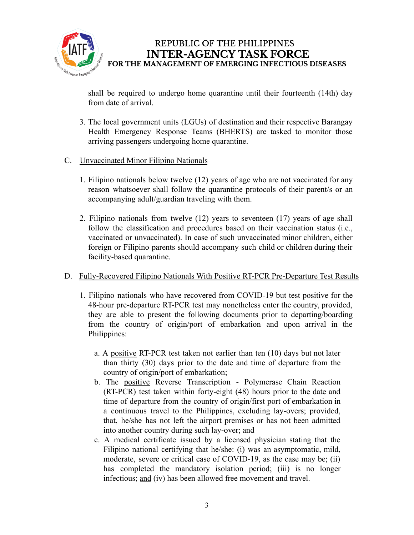

REPUBLIC OF THE PHILIPPINES **INTER-AGENCY TASK FORCE** FOR THE MANAGEMENT OF EMERGING INFECTIOUS DISEASES

shall be required to undergo home quarantine until their fourteenth (14th) day from date of arrival.

- 3. The local government units (LGUs) of destination and their respective Barangay Health Emergency Response Teams (BHERTS) are tasked to monitor those arriving passengers undergoing home quarantine.
- C. Unvaccinated Minor Filipino Nationals
	- 1. Filipino nationals below twelve (12) years of age who are not vaccinated for any reason whatsoever shall follow the quarantine protocols of their parent/s or an accompanying adult/guardian traveling with them.
	- 2. Filipino nationals from twelve (12) years to seventeen (17) years of age shall follow the classification and procedures based on their vaccination status (i.e., vaccinated or unvaccinated). In case of such unvaccinated minor children, either foreign or Filipino parents should accompany such child or children during their facility-based quarantine.

#### D. Fully-Recovered Filipino Nationals With Positive RT-PCR Pre-Departure Test Results

- 1. Filipino nationals who have recovered from COVID-19 but test positive for the 48-hour pre-departure RT-PCR test may nonetheless enter the country, provided, they are able to present the following documents prior to departing/boarding from the country of origin/port of embarkation and upon arrival in the Philippines:
	- a. A positive RT-PCR test taken not earlier than ten (10) days but not later than thirty (30) days prior to the date and time of departure from the country of origin/port of embarkation;
	- b. The positive Reverse Transcription Polymerase Chain Reaction (RT-PCR) test taken within forty-eight (48) hours prior to the date and time of departure from the country of origin/first port of embarkation in a continuous travel to the Philippines, excluding lay-overs; provided, that, he/she has not left the airport premises or has not been admitted into another country during such lay-over; and
	- c. A medical certificate issued by a licensed physician stating that the Filipino national certifying that he/she: (i) was an asymptomatic, mild, moderate, severe or critical case of COVID-19, as the case may be; (ii) has completed the mandatory isolation period; (iii) is no longer infectious; and (iv) has been allowed free movement and travel.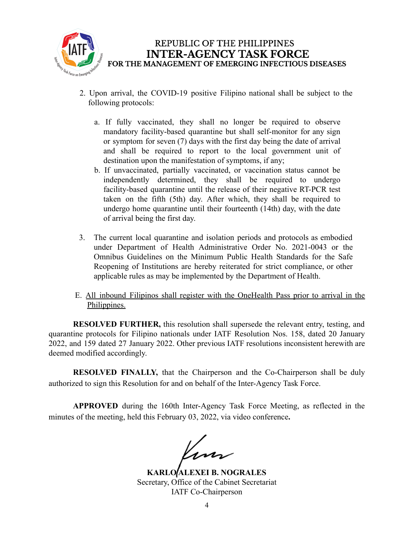

- 2. Upon arrival, the COVID-19 positive Filipino national shall be subject to the following protocols:
	- a. If fully vaccinated, they shall no longer be required to observe mandatory facility-based quarantine but shall self-monitor for any sign or symptom for seven (7) days with the first day being the date of arrival and shall be required to report to the local government unit of destination upon the manifestation of symptoms, if any;
	- b. If unvaccinated, partially vaccinated, or vaccination status cannot be independently determined, they shall be required to undergo facility-based quarantine until the release of their negative RT-PCR test taken on the fifth (5th) day. After which, they shall be required to undergo home quarantine until their fourteenth (14th) day, with the date of arrival being the first day.
- 3. The current local quarantine and isolation periods and protocols as embodied under Department of Health Administrative Order No. 2021-0043 or the Omnibus Guidelines on the Minimum Public Health Standards for the Safe Reopening of Institutions are hereby reiterated for strict compliance, or other applicable rules as may be implemented by the Department of Health.
- E. All inbound Filipinos shall register with the OneHealth Pass prior to arrival in the Philippines.

**RESOLVED FURTHER,** this resolution shall supersede the relevant entry, testing, and quarantine protocols for Filipino nationals under IATF Resolution Nos. 158, dated 20 January 2022, and 159 dated 27 January 2022. Other previous IATF resolutions inconsistent herewith are deemed modified accordingly.

**RESOLVED FINALLY,** that the Chairperson and the Co-Chairperson shall be duly authorized to sign this Resolution for and on behalf of the Inter-Agency Task Force.

**APPROVED** during the 160th Inter-Agency Task Force Meeting, as reflected in the minutes of the meeting, held this February 03, 2022, via video conference**.**

Kun

**KARLO ALEXEI B. NOGRALES** Secretary, Office of the Cabinet Secretariat IATF Co-Chairperson